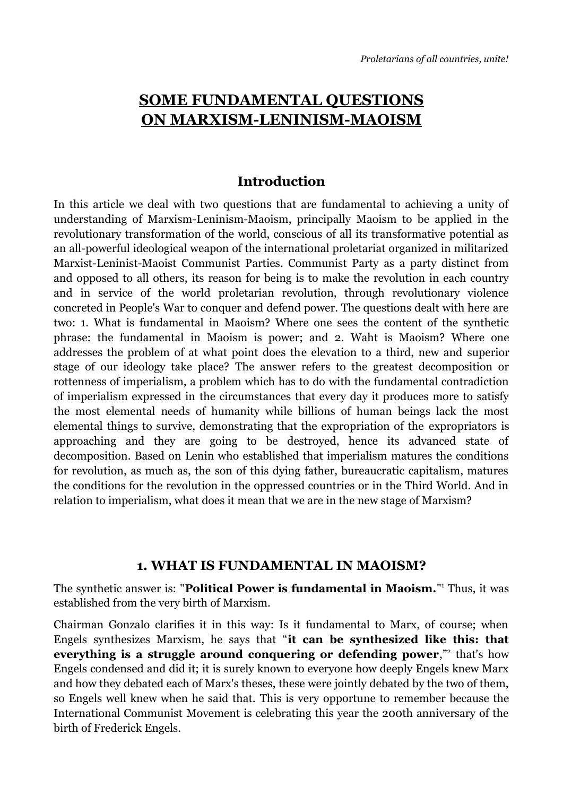# **SOME FUNDAMENTAL QUESTIONS ON MARXISM-LENINISM-MAOISM**

### **Introduction**

In this article we deal with two questions that are fundamental to achieving a unity of understanding of Marxism-Leninism-Maoism, principally Maoism to be applied in the revolutionary transformation of the world, conscious of all its transformative potential as an all-powerful ideological weapon of the international proletariat organized in militarized Marxist-Leninist-Maoist Communist Parties. Communist Party as a party distinct from and opposed to all others, its reason for being is to make the revolution in each country and in service of the world proletarian revolution, through revolutionary violence concreted in People's War to conquer and defend power. The questions dealt with here are two: 1. What is fundamental in Maoism? Where one sees the content of the synthetic phrase: the fundamental in Maoism is power; and 2. Waht is Maoism? Where one addresses the problem of at what point does the elevation to a third, new and superior stage of our ideology take place? The answer refers to the greatest decomposition or rottenness of imperialism, a problem which has to do with the fundamental contradiction of imperialism expressed in the circumstances that every day it produces more to satisfy the most elemental needs of humanity while billions of human beings lack the most elemental things to survive, demonstrating that the expropriation of the expropriators is approaching and they are going to be destroyed, hence its advanced state of decomposition. Based on Lenin who established that imperialism matures the conditions for revolution, as much as, the son of this dying father, bureaucratic capitalism, matures the conditions for the revolution in the oppressed countries or in the Third World. And in relation to imperialism, what does it mean that we are in the new stage of Marxism?

#### **1. WHAT IS FUNDAMENTAL IN MAOISM?**

The synthetic answer is: "**Political Power is fundamental in Maoism.**"<sup>1</sup> Thus, it was established from the very birth of Marxism.

Chairman Gonzalo clarifies it in this way: Is it fundamental to Marx, of course; when Engels synthesizes Marxism, he says that "**it can be synthesized like this: that everything is a struggle around conquering or defending power," that's how** Engels condensed and did it; it is surely known to everyone how deeply Engels knew Marx and how they debated each of Marx's theses, these were jointly debated by the two of them, so Engels well knew when he said that. This is very opportune to remember because the International Communist Movement is celebrating this year the 200th anniversary of the birth of Frederick Engels.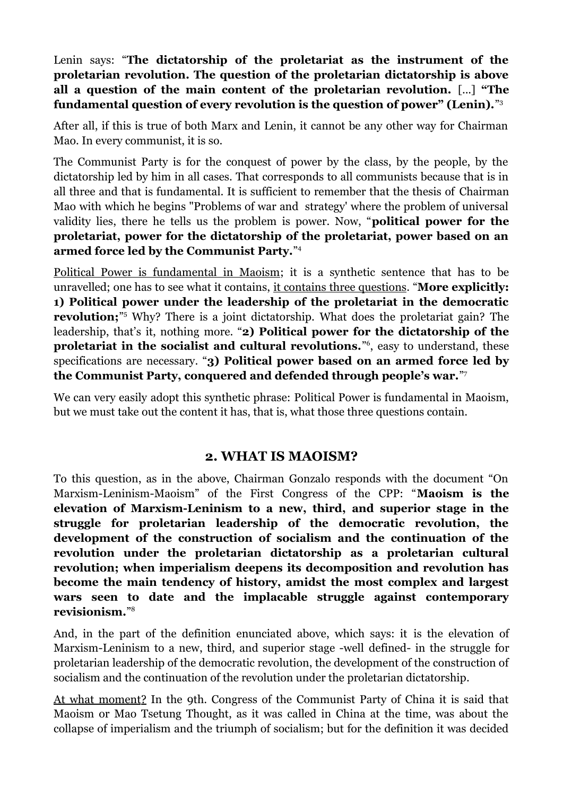Lenin says: "**The dictatorship of the proletariat as the instrument of the proletarian revolution. The question of the proletarian dictatorship is above all a question of the main content of the proletarian revolution.** [...] **"The fundamental question of every revolution is the question of power" (Lenin).**" 3

After all, if this is true of both Marx and Lenin, it cannot be any other way for Chairman Mao. In every communist, it is so.

The Communist Party is for the conquest of power by the class, by the people, by the dictatorship led by him in all cases. That corresponds to all communists because that is in all three and that is fundamental. It is sufficient to remember that the thesis of Chairman Mao with which he begins "Problems of war and strategy' where the problem of universal validity lies, there he tells us the problem is power. Now, "**political power for the proletariat, power for the dictatorship of the proletariat, power based on an armed force led by the Communist Party.**" 4

Political Power is fundamental in Maoism; it is a synthetic sentence that has to be unravelled; one has to see what it contains, it contains three questions. "**More explicitly: 1) Political power under the leadership of the proletariat in the democratic revolution;**" <sup>5</sup> Why? There is a joint dictatorship. What does the proletariat gain? The leadership, that's it, nothing more. "**2) Political power for the dictatorship of the proletariat in the socialist and cultural revolutions.**"<sup>6</sup>, easy to understand, these specifications are necessary. "**3) Political power based on an armed force led by the Communist Party, conquered and defended through people's war.**" 7

We can very easily adopt this synthetic phrase: Political Power is fundamental in Maoism, but we must take out the content it has, that is, what those three questions contain.

### **2. WHAT IS MAOISM?**

To this question, as in the above, Chairman Gonzalo responds with the document "On Marxism-Leninism-Maoism" of the First Congress of the CPP: "**Maoism is the elevation of Marxism-Leninism to a new, third, and superior stage in the struggle for proletarian leadership of the democratic revolution, the development of the construction of socialism and the continuation of the revolution under the proletarian dictatorship as a proletarian cultural revolution; when imperialism deepens its decomposition and revolution has become the main tendency of history, amidst the most complex and largest wars seen to date and the implacable struggle against contemporary revisionism.**" 8

And, in the part of the definition enunciated above, which says: it is the elevation of Marxism-Leninism to a new, third, and superior stage -well defined- in the struggle for proletarian leadership of the democratic revolution, the development of the construction of socialism and the continuation of the revolution under the proletarian dictatorship.

At what moment? In the 9th. Congress of the Communist Party of China it is said that Maoism or Mao Tsetung Thought, as it was called in China at the time, was about the collapse of imperialism and the triumph of socialism; but for the definition it was decided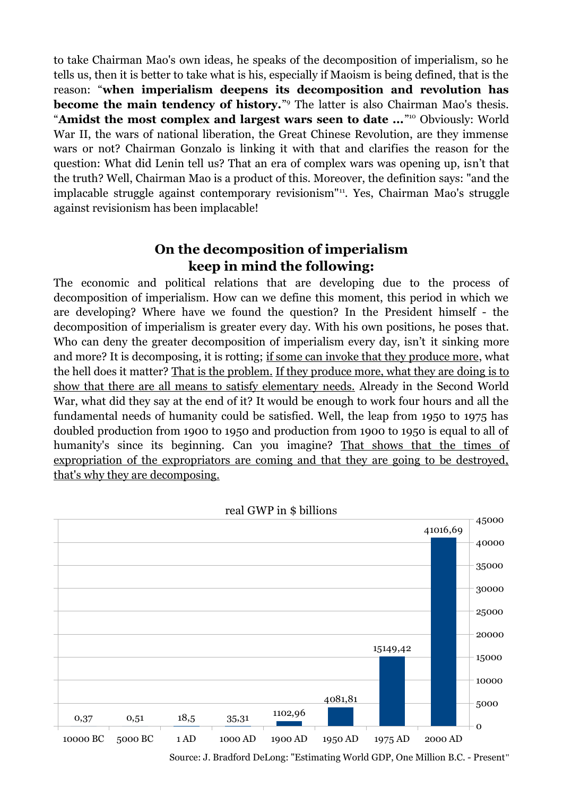to take Chairman Mao's own ideas, he speaks of the decomposition of imperialism, so he tells us, then it is better to take what is his, especially if Maoism is being defined, that is the reason: "**when imperialism deepens its decomposition and revolution has become the main tendency of history.**"<sup>9</sup> The latter is also Chairman Mao's thesis. "Amidst the most complex and largest wars seen to date ..."<sup>10</sup> Obviously: World War II, the wars of national liberation, the Great Chinese Revolution, are they immense wars or not? Chairman Gonzalo is linking it with that and clarifies the reason for the question: What did Lenin tell us? That an era of complex wars was opening up, isn't that the truth? Well, Chairman Mao is a product of this. Moreover, the definition says: "and the implacable struggle against contemporary revisionism"<sup>11</sup> . Yes, Chairman Mao's struggle against revisionism has been implacable!

# **On the decomposition of imperialism keep in mind the following:**

The economic and political relations that are developing due to the process of decomposition of imperialism. How can we define this moment, this period in which we are developing? Where have we found the question? In the President himself - the decomposition of imperialism is greater every day. With his own positions, he poses that. Who can deny the greater decomposition of imperialism every day, isn't it sinking more and more? It is decomposing, it is rotting; if some can invoke that they produce more, what the hell does it matter? That is the problem. If they produce more, what they are doing is to show that there are all means to satisfy elementary needs. Already in the Second World War, what did they say at the end of it? It would be enough to work four hours and all the fundamental needs of humanity could be satisfied. Well, the leap from 1950 to 1975 has doubled production from 1900 to 1950 and production from 1900 to 1950 is equal to all of humanity's since its beginning. Can you imagine? That shows that the times of expropriation of the expropriators are coming and that they are going to be destroyed, that's why they are decomposing.



Source: J. Bradford DeLong: "Estimating World GDP, One Million B.C. - Present"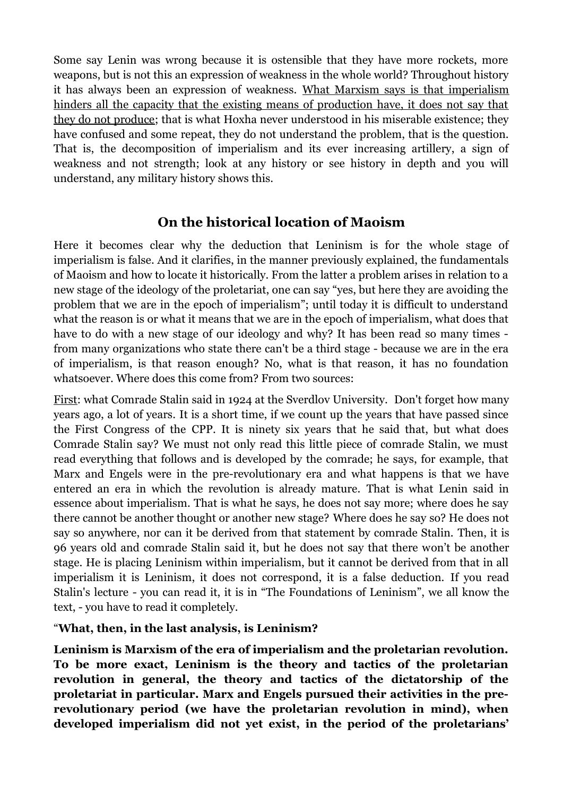Some say Lenin was wrong because it is ostensible that they have more rockets, more weapons, but is not this an expression of weakness in the whole world? Throughout history it has always been an expression of weakness. What Marxism says is that imperialism hinders all the capacity that the existing means of production have, it does not say that they do not produce; that is what Hoxha never understood in his miserable existence; they have confused and some repeat, they do not understand the problem, that is the question. That is, the decomposition of imperialism and its ever increasing artillery, a sign of weakness and not strength; look at any history or see history in depth and you will understand, any military history shows this.

## **On the historical location of Maoism**

Here it becomes clear why the deduction that Leninism is for the whole stage of imperialism is false. And it clarifies, in the manner previously explained, the fundamentals of Maoism and how to locate it historically. From the latter a problem arises in relation to a new stage of the ideology of the proletariat, one can say "yes, but here they are avoiding the problem that we are in the epoch of imperialism"; until today it is difficult to understand what the reason is or what it means that we are in the epoch of imperialism, what does that have to do with a new stage of our ideology and why? It has been read so many times from many organizations who state there can't be a third stage - because we are in the era of imperialism, is that reason enough? No, what is that reason, it has no foundation whatsoever. Where does this come from? From two sources:

First: what Comrade Stalin said in 1924 at the Sverdlov University. Don't forget how many years ago, a lot of years. It is a short time, if we count up the years that have passed since the First Congress of the CPP. It is ninety six years that he said that, but what does Comrade Stalin say? We must not only read this little piece of comrade Stalin, we must read everything that follows and is developed by the comrade; he says, for example, that Marx and Engels were in the pre-revolutionary era and what happens is that we have entered an era in which the revolution is already mature. That is what Lenin said in essence about imperialism. That is what he says, he does not say more; where does he say there cannot be another thought or another new stage? Where does he say so? He does not say so anywhere, nor can it be derived from that statement by comrade Stalin. Then, it is 96 years old and comrade Stalin said it, but he does not say that there won't be another stage. He is placing Leninism within imperialism, but it cannot be derived from that in all imperialism it is Leninism, it does not correspond, it is a false deduction. If you read Stalin's lecture - you can read it, it is in "The Foundations of Leninism", we all know the text, - you have to read it completely.

#### "**What, then, in the last analysis, is Leninism?**

**Leninism is Marxism of the era of imperialism and the proletarian revolution. To be more exact, Leninism is the theory and tactics of the proletarian revolution in general, the theory and tactics of the dictatorship of the proletariat in particular. Marx and Engels pursued their activities in the prerevolutionary period (we have the proletarian revolution in mind), when developed imperialism did not yet exist, in the period of the proletarians'**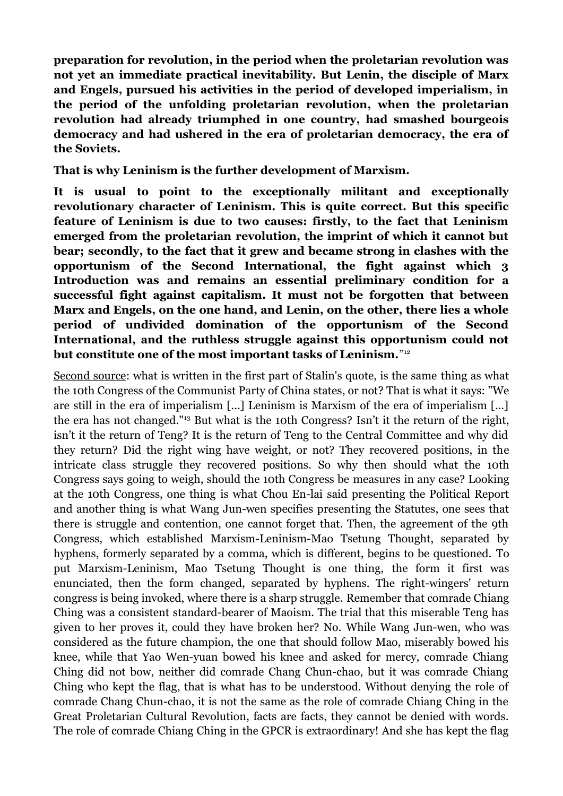**preparation for revolution, in the period when the proletarian revolution was not yet an immediate practical inevitability. But Lenin, the disciple of Marx and Engels, pursued his activities in the period of developed imperialism, in the period of the unfolding proletarian revolution, when the proletarian revolution had already triumphed in one country, had smashed bourgeois democracy and had ushered in the era of proletarian democracy, the era of the Soviets.**

**That is why Leninism is the further development of Marxism.**

**It is usual to point to the exceptionally militant and exceptionally revolutionary character of Leninism. This is quite correct. But this specific feature of Leninism is due to two causes: firstly, to the fact that Leninism emerged from the proletarian revolution, the imprint of which it cannot but bear; secondly, to the fact that it grew and became strong in clashes with the opportunism of the Second International, the fight against which 3 Introduction was and remains an essential preliminary condition for a successful fight against capitalism. It must not be forgotten that between Marx and Engels, on the one hand, and Lenin, on the other, there lies a whole period of undivided domination of the opportunism of the Second International, and the ruthless struggle against this opportunism could not but constitute one of the most important tasks of Leninism.**" 12

Second source: what is written in the first part of Stalin's quote, is the same thing as what the 10th Congress of the Communist Party of China states, or not? That is what it says: "We are still in the era of imperialism [...] Leninism is Marxism of the era of imperialism [...] the era has not changed."<sup>13</sup> But what is the 10th Congress? Isn't it the return of the right, isn't it the return of Teng? It is the return of Teng to the Central Committee and why did they return? Did the right wing have weight, or not? They recovered positions, in the intricate class struggle they recovered positions. So why then should what the 10th Congress says going to weigh, should the 10th Congress be measures in any case? Looking at the 10th Congress, one thing is what Chou En-lai said presenting the Political Report and another thing is what Wang Jun-wen specifies presenting the Statutes, one sees that there is struggle and contention, one cannot forget that. Then, the agreement of the 9th Congress, which established Marxism-Leninism-Mao Tsetung Thought, separated by hyphens, formerly separated by a comma, which is different, begins to be questioned. To put Marxism-Leninism, Mao Tsetung Thought is one thing, the form it first was enunciated, then the form changed, separated by hyphens. The right-wingers' return congress is being invoked, where there is a sharp struggle. Remember that comrade Chiang Ching was a consistent standard-bearer of Maoism. The trial that this miserable Teng has given to her proves it, could they have broken her? No. While Wang Jun-wen, who was considered as the future champion, the one that should follow Mao, miserably bowed his knee, while that Yao Wen-yuan bowed his knee and asked for mercy, comrade Chiang Ching did not bow, neither did comrade Chang Chun-chao, but it was comrade Chiang Ching who kept the flag, that is what has to be understood. Without denying the role of comrade Chang Chun-chao, it is not the same as the role of comrade Chiang Ching in the Great Proletarian Cultural Revolution, facts are facts, they cannot be denied with words. The role of comrade Chiang Ching in the GPCR is extraordinary! And she has kept the flag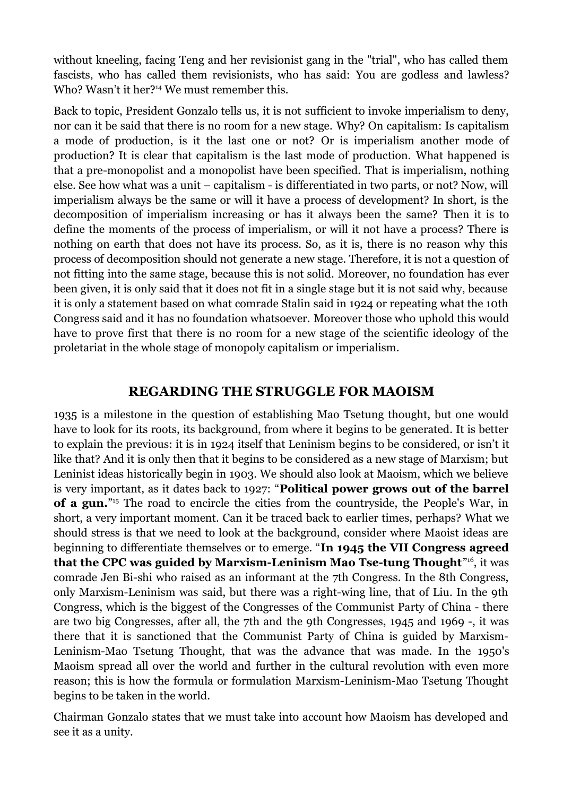without kneeling, facing Teng and her revisionist gang in the "trial", who has called them fascists, who has called them revisionists, who has said: You are godless and lawless? Who? Wasn't it her?<sup>14</sup> We must remember this.

Back to topic, President Gonzalo tells us, it is not sufficient to invoke imperialism to deny, nor can it be said that there is no room for a new stage. Why? On capitalism: Is capitalism a mode of production, is it the last one or not? Or is imperialism another mode of production? It is clear that capitalism is the last mode of production. What happened is that a pre-monopolist and a monopolist have been specified. That is imperialism, nothing else. See how what was a unit – capitalism - is differentiated in two parts, or not? Now, will imperialism always be the same or will it have a process of development? In short, is the decomposition of imperialism increasing or has it always been the same? Then it is to define the moments of the process of imperialism, or will it not have a process? There is nothing on earth that does not have its process. So, as it is, there is no reason why this process of decomposition should not generate a new stage. Therefore, it is not a question of not fitting into the same stage, because this is not solid. Moreover, no foundation has ever been given, it is only said that it does not fit in a single stage but it is not said why, because it is only a statement based on what comrade Stalin said in 1924 or repeating what the 10th Congress said and it has no foundation whatsoever. Moreover those who uphold this would have to prove first that there is no room for a new stage of the scientific ideology of the proletariat in the whole stage of monopoly capitalism or imperialism.

### **REGARDING THE STRUGGLE FOR MAOISM**

1935 is a milestone in the question of establishing Mao Tsetung thought, but one would have to look for its roots, its background, from where it begins to be generated. It is better to explain the previous: it is in 1924 itself that Leninism begins to be considered, or isn't it like that? And it is only then that it begins to be considered as a new stage of Marxism; but Leninist ideas historically begin in 1903. We should also look at Maoism, which we believe is very important, as it dates back to 1927: "**Political power grows out of the barrel of a gun.**" <sup>15</sup> The road to encircle the cities from the countryside, the People's War, in short, a very important moment. Can it be traced back to earlier times, perhaps? What we should stress is that we need to look at the background, consider where Maoist ideas are beginning to differentiate themselves or to emerge. "**In 1945 the VII Congress agreed that the CPC was guided by Marxism-Leninism Mao Tse-tung Thought**" <sup>16</sup>, it was comrade Jen Bi-shi who raised as an informant at the 7th Congress. In the 8th Congress, only Marxism-Leninism was said, but there was a right-wing line, that of Liu. In the 9th Congress, which is the biggest of the Congresses of the Communist Party of China - there are two big Congresses, after all, the 7th and the 9th Congresses, 1945 and 1969 -, it was there that it is sanctioned that the Communist Party of China is guided by Marxism-Leninism-Mao Tsetung Thought, that was the advance that was made. In the 1950's Maoism spread all over the world and further in the cultural revolution with even more reason; this is how the formula or formulation Marxism-Leninism-Mao Tsetung Thought begins to be taken in the world.

Chairman Gonzalo states that we must take into account how Maoism has developed and see it as a unity.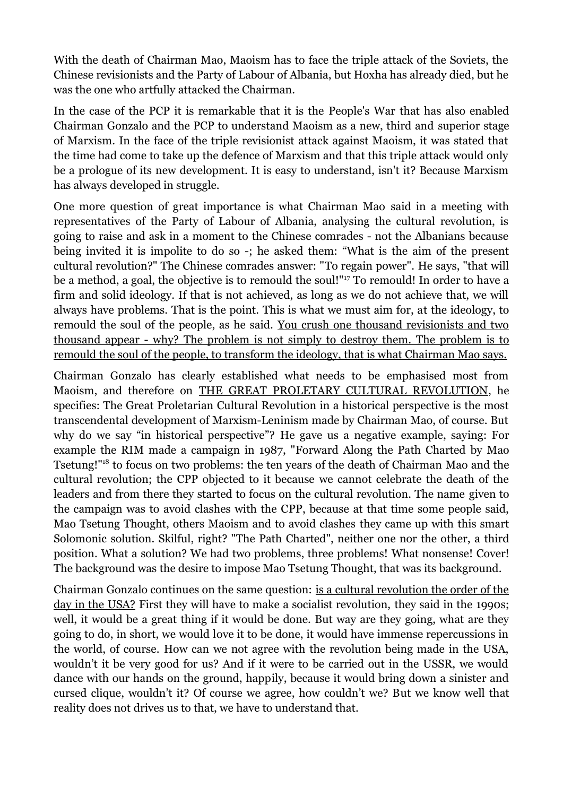With the death of Chairman Mao, Maoism has to face the triple attack of the Soviets, the Chinese revisionists and the Party of Labour of Albania, but Hoxha has already died, but he was the one who artfully attacked the Chairman.

In the case of the PCP it is remarkable that it is the People's War that has also enabled Chairman Gonzalo and the PCP to understand Maoism as a new, third and superior stage of Marxism. In the face of the triple revisionist attack against Maoism, it was stated that the time had come to take up the defence of Marxism and that this triple attack would only be a prologue of its new development. It is easy to understand, isn't it? Because Marxism has always developed in struggle.

One more question of great importance is what Chairman Mao said in a meeting with representatives of the Party of Labour of Albania, analysing the cultural revolution, is going to raise and ask in a moment to the Chinese comrades - not the Albanians because being invited it is impolite to do so -; he asked them: "What is the aim of the present cultural revolution?" The Chinese comrades answer: "To regain power". He says, "that will be a method, a goal, the objective is to remould the soul!"<sup>17</sup> To remould! In order to have a firm and solid ideology. If that is not achieved, as long as we do not achieve that, we will always have problems. That is the point. This is what we must aim for, at the ideology, to remould the soul of the people, as he said. You crush one thousand revisionists and two thousand appear - why? The problem is not simply to destroy them. The problem is to remould the soul of the people, to transform the ideology, that is what Chairman Mao says.

Chairman Gonzalo has clearly established what needs to be emphasised most from Maoism, and therefore on THE GREAT PROLETARY CULTURAL REVOLUTION, he specifies: The Great Proletarian Cultural Revolution in a historical perspective is the most transcendental development of Marxism-Leninism made by Chairman Mao, of course. But why do we say "in historical perspective"? He gave us a negative example, saying: For example the RIM made a campaign in 1987, "Forward Along the Path Charted by Mao Tsetung!" <sup>18</sup> to focus on two problems: the ten years of the death of Chairman Mao and the cultural revolution; the CPP objected to it because we cannot celebrate the death of the leaders and from there they started to focus on the cultural revolution. The name given to the campaign was to avoid clashes with the CPP, because at that time some people said, Mao Tsetung Thought, others Maoism and to avoid clashes they came up with this smart Solomonic solution. Skilful, right? "The Path Charted", neither one nor the other, a third position. What a solution? We had two problems, three problems! What nonsense! Cover! The background was the desire to impose Mao Tsetung Thought, that was its background.

Chairman Gonzalo continues on the same question: is a cultural revolution the order of the day in the USA? First they will have to make a socialist revolution, they said in the 1990s; well, it would be a great thing if it would be done. But way are they going, what are they going to do, in short, we would love it to be done, it would have immense repercussions in the world, of course. How can we not agree with the revolution being made in the USA, wouldn't it be very good for us? And if it were to be carried out in the USSR, we would dance with our hands on the ground, happily, because it would bring down a sinister and cursed clique, wouldn't it? Of course we agree, how couldn't we? But we know well that reality does not drives us to that, we have to understand that.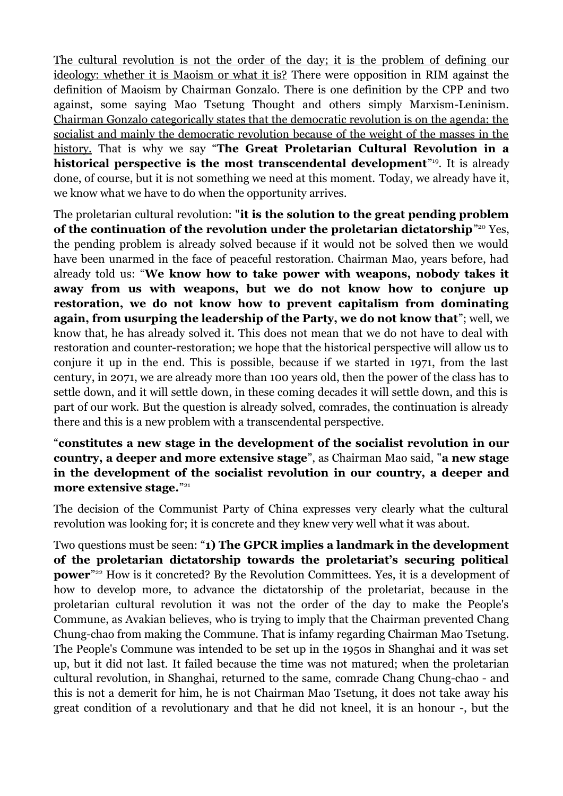The cultural revolution is not the order of the day; it is the problem of defining our ideology: whether it is Maoism or what it is? There were opposition in RIM against the definition of Maoism by Chairman Gonzalo. There is one definition by the CPP and two against, some saying Mao Tsetung Thought and others simply Marxism-Leninism. Chairman Gonzalo categorically states that the democratic revolution is on the agenda; the socialist and mainly the democratic revolution because of the weight of the masses in the history. That is why we say "**The Great Proletarian Cultural Revolution in a historical perspective is the most transcendental development**" <sup>19</sup>. It is already done, of course, but it is not something we need at this moment. Today, we already have it, we know what we have to do when the opportunity arrives.

The proletarian cultural revolution: "**it is the solution to the great pending problem** of the continuation of the revolution under the proletarian dictatorship<sup>"20</sup> Yes, the pending problem is already solved because if it would not be solved then we would have been unarmed in the face of peaceful restoration. Chairman Mao, years before, had already told us: "**We know how to take power with weapons, nobody takes it away from us with weapons, but we do not know how to conjure up restoration, we do not know how to prevent capitalism from dominating again, from usurping the leadership of the Party, we do not know that**"; well, we know that, he has already solved it. This does not mean that we do not have to deal with restoration and counter-restoration; we hope that the historical perspective will allow us to conjure it up in the end. This is possible, because if we started in 1971, from the last century, in 2071, we are already more than 100 years old, then the power of the class has to settle down, and it will settle down, in these coming decades it will settle down, and this is part of our work. But the question is already solved, comrades, the continuation is already there and this is a new problem with a transcendental perspective.

### "**constitutes a new stage in the development of the socialist revolution in our country, a deeper and more extensive stage**", as Chairman Mao said, "**a new stage in the development of the socialist revolution in our country, a deeper and more extensive stage.**" 21

The decision of the Communist Party of China expresses very clearly what the cultural revolution was looking for; it is concrete and they knew very well what it was about.

Two questions must be seen: "**1) The GPCR implies a landmark in the development of the proletarian dictatorship towards the proletariat's securing political power**" <sup>22</sup> How is it concreted? By the Revolution Committees. Yes, it is a development of how to develop more, to advance the dictatorship of the proletariat, because in the proletarian cultural revolution it was not the order of the day to make the People's Commune, as Avakian believes, who is trying to imply that the Chairman prevented Chang Chung-chao from making the Commune. That is infamy regarding Chairman Mao Tsetung. The People's Commune was intended to be set up in the 1950s in Shanghai and it was set up, but it did not last. It failed because the time was not matured; when the proletarian cultural revolution, in Shanghai, returned to the same, comrade Chang Chung-chao - and this is not a demerit for him, he is not Chairman Mao Tsetung, it does not take away his great condition of a revolutionary and that he did not kneel, it is an honour -, but the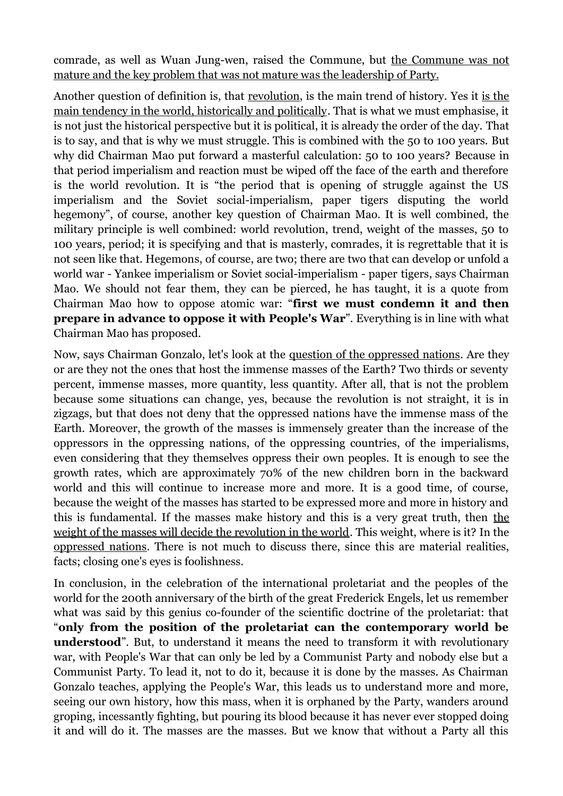comrade, as well as Wuan Jung-wen, raised the Commune, but the Commune was not mature and the key problem that was not mature was the leadership of Party.

Another question of definition is, that revolution, is the main trend of history. Yes it is the main tendency in the world, historically and politically. That is what we must emphasise, it is not just the historical perspective but it is political, it is already the order of the day. That is to say, and that is why we must struggle. This is combined with the 50 to 100 years. But why did Chairman Mao put forward a masterful calculation: 50 to 100 years? Because in that period imperialism and reaction must be wiped off the face of the earth and therefore is the world revolution. It is "the period that is opening of struggle against the US imperialism and the Soviet social-imperialism, paper tigers disputing the world hegemony", of course, another key question of Chairman Mao. It is well combined, the military principle is well combined: world revolution, trend, weight of the masses, 50 to 100 years, period; it is specifying and that is masterly, comrades, it is regrettable that it is not seen like that. Hegemons, of course, are two; there are two that can develop or unfold a world war - Yankee imperialism or Soviet social-imperialism - paper tigers, says Chairman Mao. We should not fear them, they can be pierced, he has taught, it is a quote from Chairman Mao how to oppose atomic war: "**first we must condemn it and then prepare in advance to oppose it with People's War".** Everything is in line with what Chairman Mao has proposed.

Now, says Chairman Gonzalo, let's look at the question of the oppressed nations. Are they or are they not the ones that host the immense masses of the Earth? Two thirds or seventy percent, immense masses, more quantity, less quantity. After all, that is not the problem because some situations can change, yes, because the revolution is not straight, it is in zigzags, but that does not deny that the oppressed nations have the immense mass of the Earth. Moreover, the growth of the masses is immensely greater than the increase of the oppressors in the oppressing nations, of the oppressing countries, of the imperialisms, even considering that they themselves oppress their own peoples. It is enough to see the growth rates, which are approximately 70% of the new children born in the backward world and this will continue to increase more and more. It is a good time, of course, because the weight of the masses has started to be expressed more and more in history and this is fundamental. If the masses make history and this is a very great truth, then the weight of the masses will decide the revolution in the world. This weight, where is it? In the oppressed nations. There is not much to discuss there, since this are material realities, facts; closing one's eyes is foolishness.

In conclusion, in the celebration of the international proletariat and the peoples of the world for the 200th anniversary of the birth of the great Frederick Engels, let us remember what was said by this genius co-founder of the scientific doctrine of the proletariat: that "**only from the position of the proletariat can the contemporary world be understood**". But, to understand it means the need to transform it with revolutionary war, with People's War that can only be led by a Communist Party and nobody else but a Communist Party. To lead it, not to do it, because it is done by the masses. As Chairman Gonzalo teaches, applying the People's War, this leads us to understand more and more, seeing our own history, how this mass, when it is orphaned by the Party, wanders around groping, incessantly fighting, but pouring its blood because it has never ever stopped doing it and will do it. The masses are the masses. But we know that without a Party all this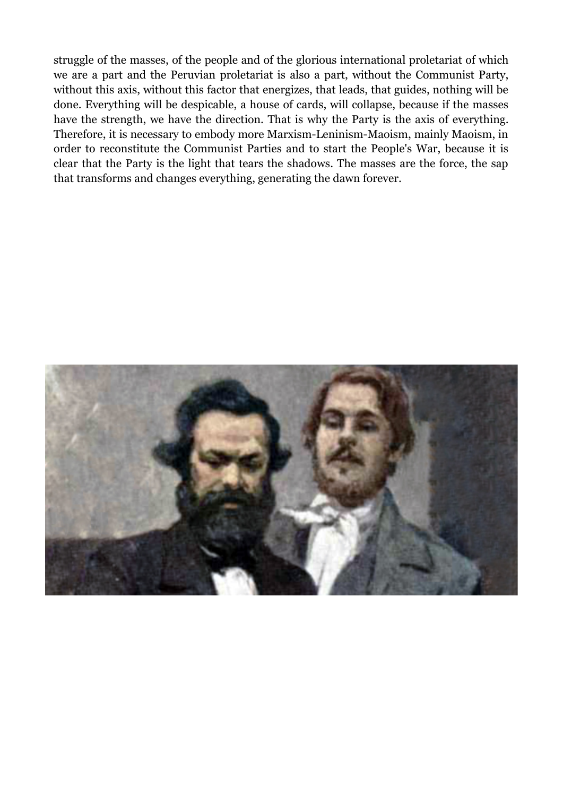struggle of the masses, of the people and of the glorious international proletariat of which we are a part and the Peruvian proletariat is also a part, without the Communist Party, without this axis, without this factor that energizes, that leads, that guides, nothing will be done. Everything will be despicable, a house of cards, will collapse, because if the masses have the strength, we have the direction. That is why the Party is the axis of everything. Therefore, it is necessary to embody more Marxism-Leninism-Maoism, mainly Maoism, in order to reconstitute the Communist Parties and to start the People's War, because it is clear that the Party is the light that tears the shadows. The masses are the force, the sap that transforms and changes everything, generating the dawn forever.